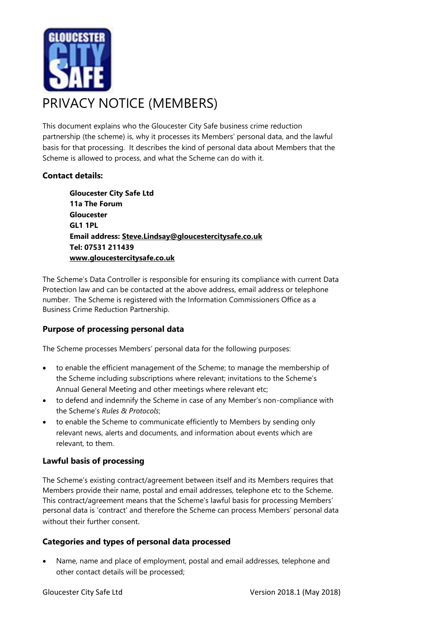

This document explains who the Gloucester City Safe business crime reduction partnership (the scheme) is, why it processes its Members' personal data, and the lawful basis for that processing. It describes the kind of personal data about Members that the Scheme is allowed to process, and what the Scheme can do with it.

# **Contact details:**

**Gloucester City Safe Ltd 11a The Forum Gloucester GL1 1PL Email address: [Steve.Lindsay@gloucestercitysafe.co.uk](mailto:Steve.Lindsay@gloucestercitysafe.co.uk) Tel: 07531 211439 [www.gloucestercitysafe.co.uk](http://www.gloucestercitysafe.co.uk/)**

The Scheme's Data Controller is responsible for ensuring its compliance with current Data Protection law and can be contacted at the above address, email address or telephone number. The Scheme is registered with the Information Commissioners Office as a Business Crime Reduction Partnership.

### **Purpose of processing personal data**

The Scheme processes Members' personal data for the following purposes:

- to enable the efficient management of the Scheme; to manage the membership of the Scheme including subscriptions where relevant; invitations to the Scheme's Annual General Meeting and other meetings where relevant etc;
- to defend and indemnify the Scheme in case of any Member's non-compliance with the Scheme's *Rules & Protocols*;
- to enable the Scheme to communicate efficiently to Members by sending only relevant news, alerts and documents, and information about events which are relevant, to them.

### **Lawful basis of processing**

The Scheme's existing contract/agreement between itself and its Members requires that Members provide their name, postal and email addresses, telephone etc to the Scheme. This contract/agreement means that the Scheme's lawful basis for processing Members' personal data is 'contract' and therefore the Scheme can process Members' personal data without their further consent.

### **Categories and types of personal data processed**

• Name, name and place of employment, postal and email addresses, telephone and other contact details will be processed;